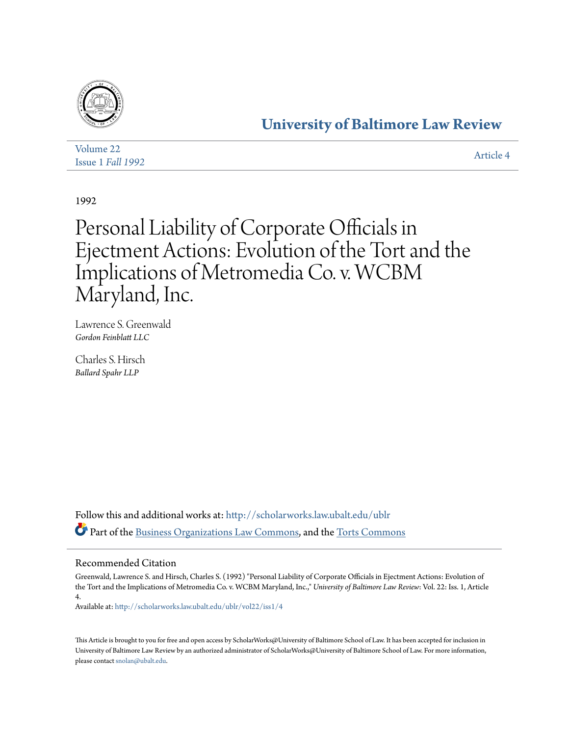

# **[University of Baltimore Law Review](http://scholarworks.law.ubalt.edu/ublr?utm_source=scholarworks.law.ubalt.edu%2Fublr%2Fvol22%2Fiss1%2F4&utm_medium=PDF&utm_campaign=PDFCoverPages)**

| Volume 22                | Article 4 |
|--------------------------|-----------|
| <b>Issue 1 Fall 1992</b> |           |

1992

# Personal Liability of Corporate Officials in Ejectment Actions: Evolution of the Tort and the Implications of Metromedia Co. v. WCBM Maryland, Inc.

Lawrence S. Greenwald *Gordon Feinblatt LLC*

Charles S. Hirsch *Ballard Spahr LLP*

Follow this and additional works at: [http://scholarworks.law.ubalt.edu/ublr](http://scholarworks.law.ubalt.edu/ublr?utm_source=scholarworks.law.ubalt.edu%2Fublr%2Fvol22%2Fiss1%2F4&utm_medium=PDF&utm_campaign=PDFCoverPages) Part of the [Business Organizations Law Commons,](http://network.bepress.com/hgg/discipline/900?utm_source=scholarworks.law.ubalt.edu%2Fublr%2Fvol22%2Fiss1%2F4&utm_medium=PDF&utm_campaign=PDFCoverPages) and the [Torts Commons](http://network.bepress.com/hgg/discipline/913?utm_source=scholarworks.law.ubalt.edu%2Fublr%2Fvol22%2Fiss1%2F4&utm_medium=PDF&utm_campaign=PDFCoverPages)

# Recommended Citation

Greenwald, Lawrence S. and Hirsch, Charles S. (1992) "Personal Liability of Corporate Officials in Ejectment Actions: Evolution of the Tort and the Implications of Metromedia Co. v. WCBM Maryland, Inc.," *University of Baltimore Law Review*: Vol. 22: Iss. 1, Article 4.

Available at: [http://scholarworks.law.ubalt.edu/ublr/vol22/iss1/4](http://scholarworks.law.ubalt.edu/ublr/vol22/iss1/4?utm_source=scholarworks.law.ubalt.edu%2Fublr%2Fvol22%2Fiss1%2F4&utm_medium=PDF&utm_campaign=PDFCoverPages)

This Article is brought to you for free and open access by ScholarWorks@University of Baltimore School of Law. It has been accepted for inclusion in University of Baltimore Law Review by an authorized administrator of ScholarWorks@University of Baltimore School of Law. For more information, please contact [snolan@ubalt.edu.](mailto:snolan@ubalt.edu)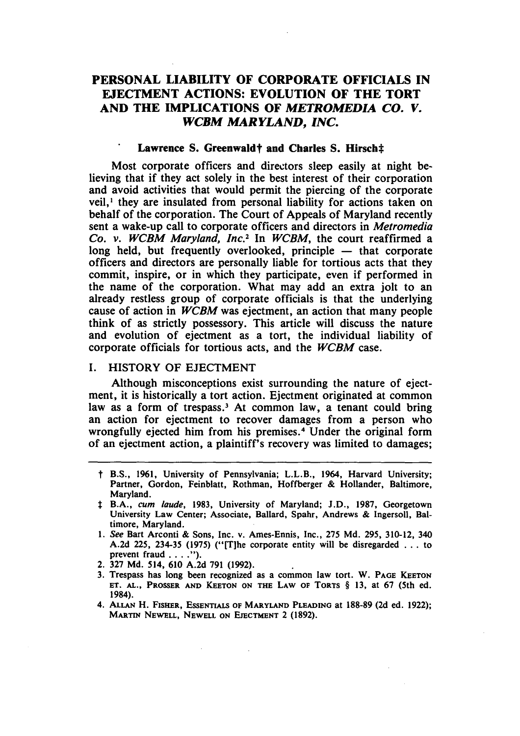# PERSONAL LIABILITY OF CORPORATE OFFICIALS IN EJECTMENT ACTIONS: EVOLUTION OF THE TORT AND THE IMPLICATIONS OF *METROMEDIA CO. V. WCBM MARYLAND, INC.*

#### Lawrence S. Greenwaldt and Charles S. Hirsch‡

Most corporate officers and directors sleep easily at night believing that if they act solely in the best interest of their corporation and avoid activities that would permit the piercing of the corporate veil,<sup>1</sup> they are insulated from personal liability for actions taken on behalf of the corporation. The Court of Appeals of Maryland recently sent a wake-up call to corporate officers and directors in *Metromedia Co. v. WCBM Maryland, Inc.*<sup>2</sup> In *WCBM*, the court reaffirmed a  $long$  held, but frequently overlooked, principle  $-$  that corporate officers and directors are personally liable for tortious acts that they commit, inspire, or in which they participate, even if performed in the name of the corporation. What may add an extra jolt to an already restless group of corporate officials is that the underlying cause of action in *WCBM* was ejectment, an action that many people think of as strictly possessory. This article will discuss the nature and evolution of ejectment as a tort, the individual liability of corporate officials for tortious acts, and the *WCBM* case.

## I. HISTORY OF EJECTMENT

Although misconceptions exist surrounding the nature of ejectment, it is historically a tort action. Ejectment originated at common law as a form of trespass.<sup>3</sup> At common law, a tenant could bring an action for ejectment to recover damages from a person who wrongfully ejected him from his premises.<sup>4</sup> Under the original form of an ejectment action, a plaintiff's recovery was limited to damages;

- t B.S., 1961, University of Pennsylvania; L.L.B., 1964, Harvard University; Partner, Gordon, Feinblatt, Rothman, Hoffberger & Hollander, Baltimore, Maryland.
- :I: B.A., *cum laude,* 1983, University of Maryland; J.D., 1987, Georgetown University Law Center; Associate, Ballard, Spahr, Andrews & Ingersoll, Baltimore, Maryland.
- 1. *See* Bart Arconti & Sons, Inc. v. Ames-Ennis, Inc., 275 Md. 295, 310-12, 340 A.2d 225, 234-35 (1975) ("[T]he corporate entity will be disregarded ... to prevent fraud . . . .").
- 2. 327 Md. 514, 610 A.2d 791 (1992).
- 3. Trespass has long been recognized as a common law tort. W. PAGE KEETON ET. AL., PROSSER AND KEETON ON THE LAW OF TORTS § 13, at 67 (5th ed. 1984).
- 4. ALLAN H. FISHER, ESSENTIALS OF MARYLAND PLEADING at 188-89 (2d ed. 1922); MARTIN NEWELL, NEWELL ON EJECTMENT 2 (1892).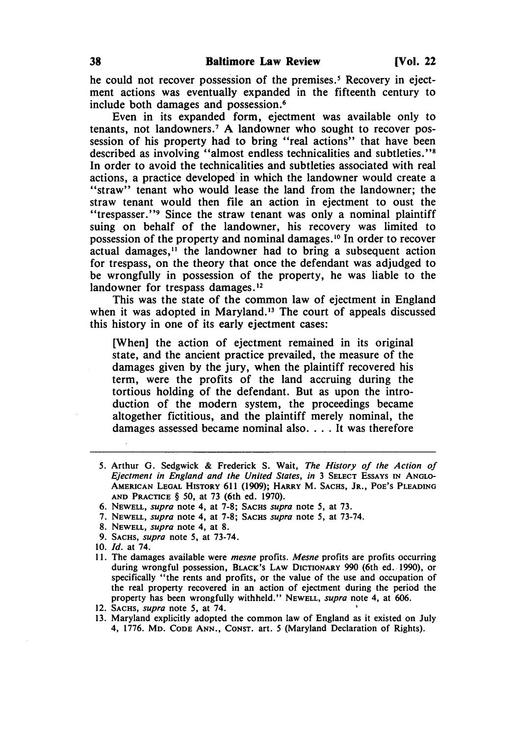he could not recover possession of the premises. *S* Recovery in ejectment actions was eventually expanded in the fifteenth century to include both damages and possession.6

Even in its expanded form, ejectment was available only to tenants, not landowners.<sup>7</sup> A landowner who sought to recover possession of his property had to bring "real actions" that have been described as involving "almost endless technicalities and subtleties."8 In order to avoid the technicalities and subtleties associated with real actions, a practice developed in which the landowner would create a "straw" tenant who would lease the land from the landowner; the straw tenant would then file an action in ejectment to oust the "trespasser. "9 Since the straw tenant was only a nominal plaintiff suing on behalf of the landowner, his recovery was limited to possession of the property and nominal damages. 10 In order to recover actual damages,<sup>11</sup> the landowner had to bring a subsequent action for trespass, on the theory that once the defendant was adjudged to be wrongfully in possession of the property, he was liable to the landowner for trespass damages.<sup>12</sup>

This was the state of the common law of ejectment in England when it was adopted in Maryland.<sup>13</sup> The court of appeals discussed this history in one of its early ejectment cases:

[When] the action of ejectment remained in its original state, and the ancient practice prevailed, the measure of the damages given by the jury, when the plaintiff recovered his term, were the profits of the land accruing during the tortious holding of the defendant. But as upon the introduction of the modern system, the proceedings became altogether fictitious, and the plaintiff merely nominal, the damages assessed became nominal also.... It was therefore

11. The damages available were *mesne* profits. *Mesne* profits are profits occurring during wrongful possession, BLACK'S LAW DICTIONARY 990 (6th ed. 1990), or specifically "the rents and profits, or the value of the use and occupation of the real property recovered in an action of ejectment during the period the property has been wrongfully withheld." NEWELL, *supra* note 4, at 606.

<sup>5.</sup> Arthur G. Sedgwick & Frederick S. Wait, *The History oj the Action oj Ejectment in Eng/and and the United States, in* 3 SELECT ESSAYS IN ANGLO-AMERICAN LEGAL HISTORY 611 (1909); HARRY M. SACHS, JR., POE'S PLEADING AND PRACTICE § 50, at 73 (6th ed. 1970).

<sup>6.</sup> NEWELL, *supra* note 4, at 7-8; SACHS *supra* note 5, at 73.

<sup>7.</sup> NEWELL, *supra* note 4, at 7-8; SACHS *supra* note 5, at 73-74.

<sup>8.</sup> NEWELL, *supra* note 4, at 8.

<sup>9.</sup> SACHS, *supra* note 5, at 73-74.

*<sup>10. [</sup>d.* at 74.

<sup>12.</sup> SACHS, *supra* note 5, at 74. '

<sup>13.</sup> Maryland explicitly adopted the common law of England as it existed on July 4, 1776. MD. CODE ANN., CONST. art. 5 (Maryland Declaration of Rights).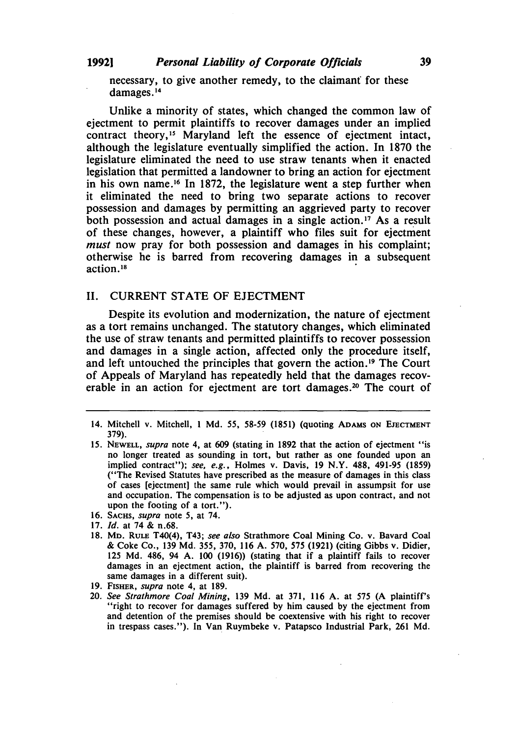necessary, to give another remedy, to the claimant for these damages. 14

Unlike a minority of states, which changed the common law of ejectment to permit plaintiffs to recover damages under an implied contract theory,<sup>15</sup> Maryland left the essence of ejectment intact, although the legislature eventually simplified the action. In 1870 the legislature eliminated the need to use straw tenants when it enacted legislation that permitted a landowner to bring an action for ejectment in his own name.<sup>16</sup> In 1872, the legislature went a step further when it eliminated the need to bring two separate actions to recover possession and damages by permitting an aggrieved party to recover both possession and actual damages in a single action. 17 As a result of these changes, however, a plaintiff who files suit for ejectment *must* now pray for both possession and damages in his complaint; otherwise he is barred from recovering damages in a subsequent action.<sup>18</sup>

#### II. CURRENT STATE OF EJECTMENT

Despite its evolution and modernization, the nature of ejectment as a tort remains unchanged. The statutory changes, which eliminated the use of straw tenants and permitted plaintiffs to recover possession and damages in a single action, affected only the procedure itself, and left untouched the principles that govern the action. 19 The Court of Appeals of Maryland has repeatedly held that the damages recoverable in an action for ejectment are tort damages.<sup>20</sup> The court of

16. SACHS, *supra* note 5, at 74.

- 18. MD. RULE T40(4), T43; *see also* Strathmore Coal Mining Co. v. Bavard Coal & Coke Co., 139 Md. 355, 370, 116 A. 570, 575 (1921) (citing Gibbs v. Didier, 125 Md. 486, 94 A. 100 (1916)) (stating that if a plaintiff fails to recover damages in an ejectment action, the plaintiff is barred from recovering the same damages in a different suit).
- 19. FISHER, *supra* note 4, at 189.
- *20. See Strathmore Coal Mining,* 139 Md. at 371, 116 A. at 575 (A plaintiff's "right to recover for damages suffered by him caused by the ejectment from and detention of the premises should be coextensive with his right to recover in trespass cases."). In Van Ruymbeke v. Patapsco Industrial Park, 261 Md.

<sup>14.</sup> Mitchell v. Mitchell, 1 Md. 55, 58-59 (1851) (quoting ADAMS ON EJECTMENT 379).

<sup>15.</sup> NEWELL, *supra* note 4, at 609 (stating in 1892 that the action of ejectment "is no longer treated as sounding in tort, but rather as one founded upon an implied contract"); *see, e.g.,* Holmes v. Davis, 19 N.Y. 488, 491-95 (1859) ("The Revised Statutes have prescribed as the measure of damages in this class of cases [ejectment] the same rule which would prevail in assumpsit for use and occupation. The compensation is to be adjusted as upon contract, and not upon the footing of a tort.").

*<sup>17.</sup> Id.* at 74 & n.68.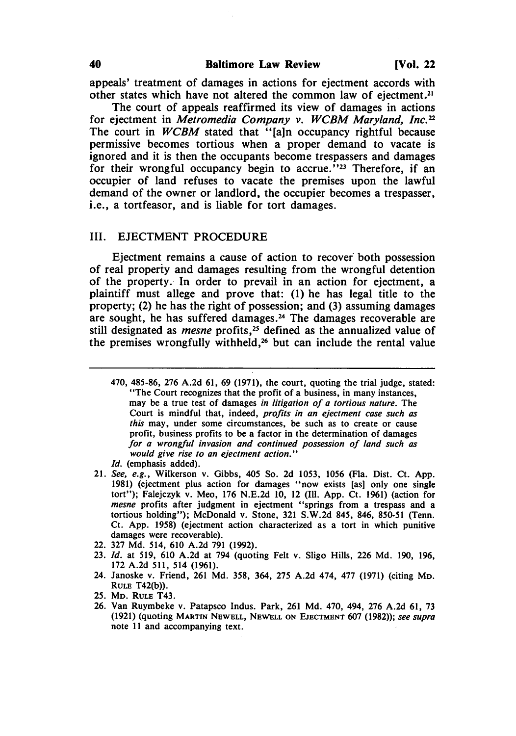appeals' treatment of damages in actions for ejectment accords with other states which have not altered the common law of ejectment.21

The court of appeals reaffirmed its view of damages in actions for ejectment in *Metromedia Company v. WCBM Mary/and, Inc.* <sup>22</sup> The court in *WCBM* stated that "[a]n occupancy rightful because permissive becomes tortious when a proper demand to vacate is ignored and it is then the occupants become trespassers and damages for their wrongful occupancy begin to accrue."<sup>23</sup> Therefore, if an occupier of land refuses to vacate the premises upon the lawful demand of the owner or landlord, the occupier becomes a trespasser, i.e., a tortfeasor, and is liable for tort damages.

#### III. EJECTMENT PROCEDURE

Ejectment remains a cause of action to recover both possession of real property and damages resulting from the wrongful detention of the property. In order to prevail in an action for ejectment, a plaintiff must allege and prove that: (1) he has legal title to the property; (2) he has the right of possession; and (3) assuming damages are sought, he has suffered damages. 24 The damages recoverable are still designated as *mesne* profits,<sup>25</sup> defined as the annualized value of the premises wrongfully withheld,26 but can include the rental value

- 470, 485-86, 276 A.2d 61, 69 (1971), the court, quoting the trial judge, stated: "The Court recognizes that the profit of a business, in many instances, may be a true test of damages *in litigation oj a tortious nature.* The Court is mindful that, indeed, *profits in an ejectment case such as this* may, under some circumstances, be such as to create or cause profit, business profits to be a factor in the determination of damages *Jor a wrongful invasion and continued possession oj land such as would give rise to an ejectment action." Id.* (emphasis added).
- *21. See, e.g.,* Wilkerson v. Gibbs, 405 So. 2d 1053, 1056 (Fla. Dist. Ct. App. 1981) (ejectment plus action for damages "now exists [as) only one single tort"); Falejczyk v. Meo. 176 N.E.2d 10, 12 (Ill. App. Ct. 1961) (action for *mesne* profits after judgment in ejectment "springs from a trespass and a tortious holding"); McDonald v. Stone, 321 S.W.2d 845, 846. 850-51 (Tenn. Ct. App. 1958) (ejectment action characterized as a tort in which punitive damages were recoverable).
- 22. 327 Md. 514, 610 A.2d 791 (1992).
- *23. Id.* at 519, 610 A.2d at 794 (quoting Felt v. Sligo Hills, 226 Md. 190, 196, 172 A.2d 511, 514 (1961).
- 24. Janoske v. Friend, 261 Md. 358, 364, 275 A.2d 474, 477 (1971) (citing MD. RULE T42(b)).
- 25. MD. RULE T43.
- 26. Van Ruymbeke v. Patapsco Indus. Park, 261 Md. 470, 494, 276 A.2d 61, 73 (1921) (quoting MARTIN NEWELL, NEWELL ON EJECTMENT 607 (1982)); see supra note II and accompanying text.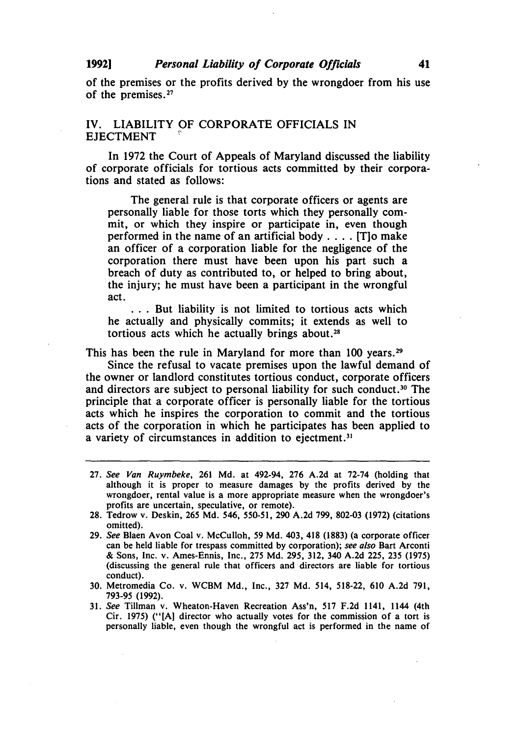of the premises or the profits derived by the wrongdoer from his use of the premises. 27

#### IV. LIABILITY OF CORPORATE OFFICIALS IN **EJECTMENT**

In 1972 the Court of Appeals of Maryland discussed the liability of corporate officials for tortious acts committed by their corporations and stated as follows:

The general rule is that corporate officers or agents are personally liable for those torts which they personally commit, or which they inspire or participate in, even though performed in the name of an artificial body .... [T]o make an officer of a corporation liable for the negligence of the corporation there must have been upon his part such a breach of duty as contributed to, or helped to bring about, the injury; he must have been a participant in the wrongful act.

. . . But liability is not limited to tortious acts which he actually and physically commits; it extends as well to tortious acts which he actually brings about.28

This has been the rule in Maryland for more than 100 years.<sup>29</sup>

Since the refusal to vacate premises upon the lawful demand of the owner or landlord constitutes tortious conduct, corporate officers and directors are subject to personal liability for such conduct.<sup>30</sup> The principle that a corporate officer is personally liable for the tortious acts which he inspires the corporation to commit and the tortious acts of the corporation in which he participates has been applied to a variety of circumstances in addition to ejectment.<sup>31</sup>

- 27. See Van Ruymbeke, 261 Md. at 492-94, 276 A.2d at 72-74 (holding that although it is proper to measure damages by the profits derived by the wrongdoer, rental value is a more appropriate measure when the wrongdoer's profits are uncertain, speculative, or remote).
- 28. Tedrow v. Deskin, 265 Md. 546, 550-51,290 A.2d 799,802-03 (1972) (citations omitted).
- 29. See Blaen Avon Coal v. McCulloh, 59 Md. 403, 418 (1883) (a corporate officer can be held liable for trespass committed by corporation); *see also* Bart Arconti & Sons, Inc. v. Ames-Ennis, Inc., 275 Md. 295, 312, 340 A.2d 225, 235 (1975) (discussing the general rule that officers and directors are liable for tortious conduct).
- 30. Metromedia Co. v. WCBM Md., Inc., 327 Md. 514, 518-22, 610 A.2d 791, 793-95 (1992).
- 31. See Tillman v. Wheaton-Haven Recreation Ass'n, 517 F.2d 1141, 1144 (4th Cir. 1975) ("[A] director who actually votes for the commission of a tort is personally liable, even though the wrongful act is performed in the name of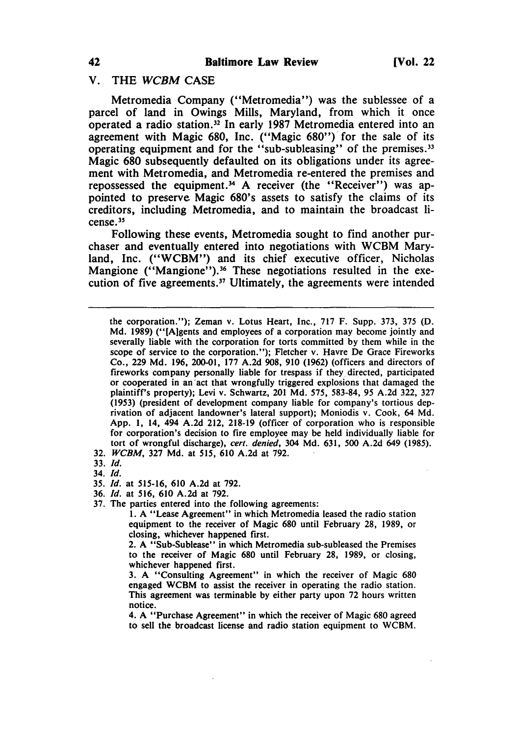## v. THE *WCBM* CASE

Metromedia Company ("Metromedia") was the sublessee of a parcel of land in Owings Mills, Maryland, from which it once operated a radio station.32 In early 1987 Metromedia entered into an agreement with Magic 680, Inc. ("Magic 680") for the sale of its operating equipment and for the "sub-subleasing" of the premises.<sup>33</sup> Magic 680 subsequently defaulted on its obligations under its agreement with Metromedia, and Metromedia re-entered the premises and repossessed the equipment.<sup>34</sup> A receiver (the "Receiver") was appointed to preserve Magic 680's assets to satisfy the claims of its creditors, including Metromedia, and to maintain the broadcast license.<sup>35</sup>

Following these events, Metromedia sought to find another purchaser and eventually entered into negotiations with WCBM Maryland, Inc. ("WCBM") and its chief executive officer, Nicholas Mangione ("Mangione").<sup>36</sup> These negotiations resulted in the execution of five agreements.37 Ultimately, the agreements were intended

the corporation."); Zeman v. Lotus Heart, Inc., 717 F. Supp. 373, 375 (D. Md. 1989) ("[A)gents and employees of a corporation may become jointly and severally liable with the corporation for torts committed by them while in the scope of service to the corporation."); Fletcher v. Havre De Grace Fireworks Co., 229 Md. 196, 200-01, 177 A.2d 908, 910 (1962) (officers and directors of fireworks company personally liable for trespass if they directed, participated or cooperated in an 'act that wrongfully triggered explosions that damaged the plaintiff's property); Levi v. Schwartz, 201 Md. 575, 583-84, 95 A.2d 322, 327 (1953) (president of development company liable for company's tortious deprivation of adjacent landowner's lateral support); Moniodis v. Cook, 64 Md. App. 1, 14, 494 A.2d 212, 218-19 (officer of corporation who is responsible for corporation's decision to fire employee may be held individually liable for tort of wrongful discharge), *cert. denied,* 304 Md. 631, 500 A.2d 649 (1985).

- *32. WCBM,* 327 Md. at 515, 610 A.2d at 792.
- *33. Id.*
- *34. Id.*
- *35. Id.* at 515-16, 610 A.2d at 792.
- *36. Id.* at 516, 610 A.2d at 792.
- 37. The parties entered into the following agreements:

1. A "Lease Agreement" in which Metromedia leased the radio station equipment to the receiver of Magic 680 until February 28, 1989, or closing, whichever happened first.

2. A "Sub-Sublease" in which Metromedia sub-subleased the Premises to the receiver of Magic 680 until February 28, 1989, or closing, whichever happened first.

3. A "Consulting Agreement" in which the receiver of Magic 680 engaged WCBM to assist the receiver in operating the radio station. This agreement was terminable by either party upon 72 hours written notice.

4. A "Purchase Agreement" in which the receiver of Magic 680 agreed to sell the broadcast license and radio station equipment to WCBM.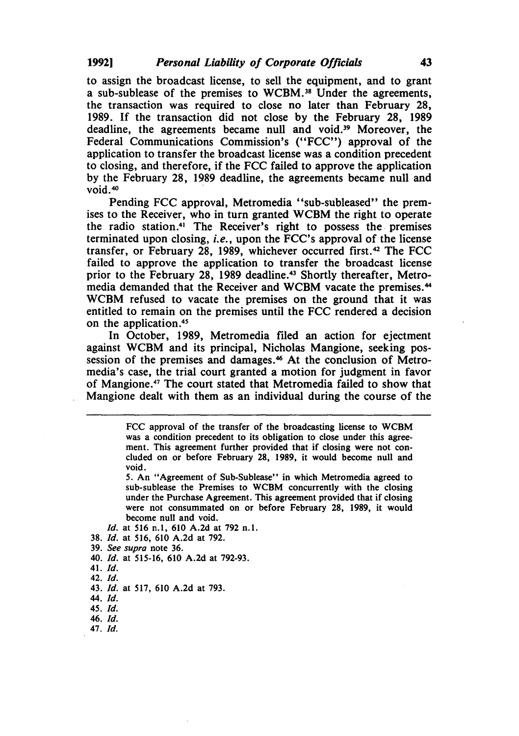to assign the broadcast license, to sell the equipment, and to grant a sub-sublease of the premises to WCBM.38 Under the agreements, the transaction was required to close no later than February 28, 1989. If the transaction did not close by the February 28, 1989 deadline, the agreements became null and void.39 Moreover, the Federal Communications Commission's ("FCC") approval of the application to transfer the broadcast license was a condition precedent to closing, and therefore, if the FCC failed to approve the application by the February 28, 1989 deadline, the agreements became null and void. $40$ 

Pending FCC approval, Metromedia "sub-subleased" the premises to the Receiver, who in turn granted WCBM the right to operate the radio station.<sup>41</sup> The Receiver's right to possess the premises terminated upon closing, *i.e.,* upon the FCC's approval of the license transfer, or February 28, 1989, whichever occurred first. 42 The FCC failed to approve the application to transfer the broadcast license prior to the February 28, 1989 deadline.<sup>43</sup> Shortly thereafter, Metromedia demanded that the Receiver and WCBM vacate the premises. 44 WCBM refused to vacate the premises on the ground that it was entitled to remain on the premises until the FCC rendered a decision on the application.4s

In October, 1989, Metromedia filed an action for ejectment against WCBM and its principal, Nicholas Mangione, seeking possession of the premises and damages. 46 At the conclusion of Metromedia's case, the trial court granted a motion for judgment in favor of Mangione.47 The court stated that Metromedia failed to show that Mangione dealt with them as an individual during the course of the

> FCC approval of the transfer of the broadcasting license to WCBM was a condition precedent to its obligation to close under this agreement. This agreement further provided that if closing were not concluded on or before February 28, 1989, it would become null and void.

> 5~ An "Agreement of Sub-Sublease" in which Metromedia agreed to sub-sublease the Premises to WCBM concurrently with the closing under the Purchase Agreement. This agreement provided that if closing were not consummated on or before February 28, 1989, it would become null and void.

Id. at 516 n.1, 610 A.2d at 792 n.1.

- *38. [d.* at 516, 610 A.2d at 792.
- *39. See supra* note 36.
- *40. [d.* at 515-16, 610 A.2d at 792-93.
- *41. [d.*
- 42. [d.
- *43. [d.* at 517, 610 A.2d at 793.
- 44. [d.
- *45. [d.*
- 46. [d.
- *47. [d.*